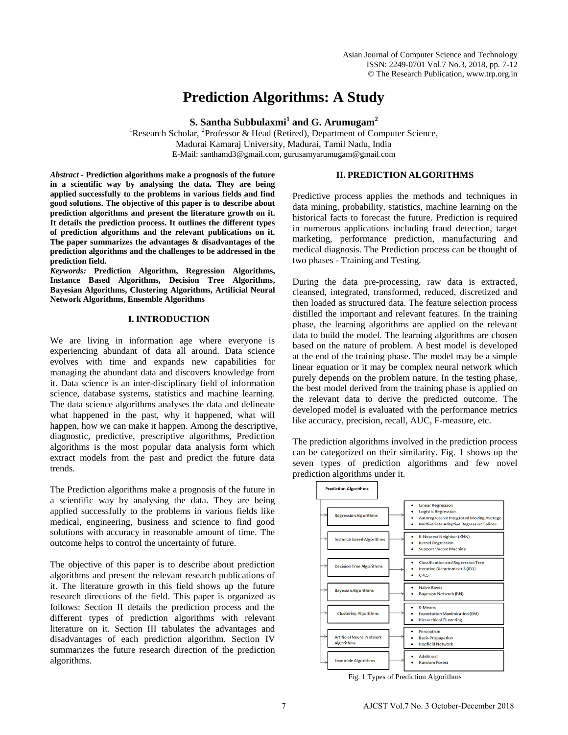# **Prediction Algorithms: A Study**

**S. Santha Subbulaxmi<sup>1</sup> and G. Arumugam<sup>2</sup>**

<sup>1</sup>Research Scholar, <sup>2</sup>Professor & Head (Retired), Department of Computer Science, Madurai Kamaraj University, Madurai, Tamil Nadu, India E-Mail: [santhamd3@gmail.com,](mailto:santhamd3@gmail.com) gurusamyarumugam@gmail.com

*Abstract -* **Prediction algorithms make a prognosis of the future in a scientific way by analysing the data. They are being applied successfully to the problems in various fields and find good solutions. The objective of this paper is to describe about prediction algorithms and present the literature growth on it. It details the prediction process. It outlines the different types of prediction algorithms and the relevant publications on it. The paper summarizes the advantages & disadvantages of the prediction algorithms and the challenges to be addressed in the prediction field.** 

*Keywords:* **Prediction Algorithm, Regression Algorithms, Instance Based Algorithms, Decision Tree Algorithms, Bayesian Algorithms, Clustering Algorithms, Artificial Neural Network Algorithms, Ensemble Algorithms**

## **I. INTRODUCTION**

We are living in information age where everyone is experiencing abundant of data all around. Data science evolves with time and expands new capabilities for managing the abundant data and discovers knowledge from it. Data science is an inter-disciplinary field of information science, database systems, statistics and machine learning. The data science algorithms analyses the data and delineate what happened in the past, why it happened, what will happen, how we can make it happen. Among the descriptive, diagnostic, predictive, prescriptive algorithms, Prediction algorithms is the most popular data analysis form which extract models from the past and predict the future data trends.

The Prediction algorithms make a prognosis of the future in a scientific way by analysing the data. They are being applied successfully to the problems in various fields like medical, engineering, business and science to find good solutions with accuracy in reasonable amount of time. The outcome helps to control the uncertainty of future.

The objective of this paper is to describe about prediction algorithms and present the relevant research publications of it. The literature growth in this field shows up the future research directions of the field. This paper is organized as follows: Section II details the prediction process and the different types of prediction algorithms with relevant literature on it. Section III tabulates the advantages and disadvantages of each prediction algorithm. Section IV summarizes the future research direction of the prediction algorithms.

#### **II. PREDICTION ALGORITHMS**

Predictive process applies the methods and techniques in data mining, probability, statistics, machine learning on the historical facts to forecast the future. Prediction is required in numerous applications including fraud detection, target marketing, performance prediction, manufacturing and medical diagnosis. The Prediction process can be thought of two phases - Training and Testing.

During the data pre-processing, raw data is extracted, cleansed, integrated, transformed, reduced, discretized and then loaded as structured data. The feature selection process distilled the important and relevant features. In the training phase, the learning algorithms are applied on the relevant data to build the model. The learning algorithms are chosen based on the nature of problem. A best model is developed at the end of the training phase. The model may be a simple linear equation or it may be complex neural network which purely depends on the problem nature. In the testing phase, the best model derived from the training phase is applied on the relevant data to derive the predicted outcome. The developed model is evaluated with the performance metrics like accuracy, precision, recall, AUC, F-measure, etc.

The prediction algorithms involved in the prediction process can be categorized on their similarity. Fig. 1 shows up the seven types of prediction algorithms and few novel prediction algorithms under it.



Fig. 1 Types of Prediction Algorithms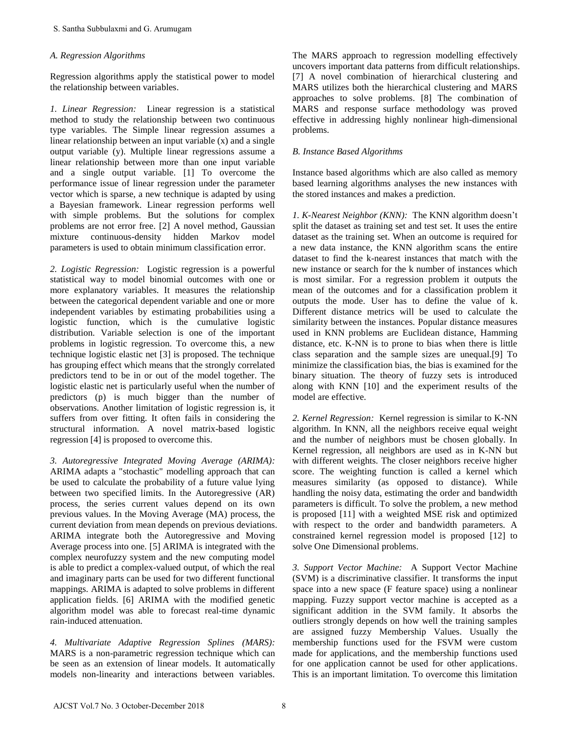## *A. Regression Algorithms*

Regression algorithms apply the statistical power to model the relationship between variables.

*1. Linear Regression:* Linear regression is a statistical method to study the relationship between two continuous type variables. The Simple linear regression assumes a linear relationship between an input variable (x) and a single output variable (y). Multiple linear regressions assume a linear relationship between more than one input variable and a single output variable. [1] To overcome the performance issue of linear regression under the parameter vector which is sparse, a new technique is adapted by using a Bayesian framework. Linear regression performs well with simple problems. But the solutions for complex problems are not error free. [2] A novel method, Gaussian mixture continuous-density hidden Markov model parameters is used to obtain minimum classification error.

*2. Logistic Regression:* Logistic regression is a powerful statistical way to model binomial outcomes with one or more explanatory variables. It measures the relationship between the categorical dependent variable and one or more independent variables by estimating probabilities using a logistic function, which is the cumulative logistic distribution. Variable selection is one of the important problems in logistic regression. To overcome this, a new technique logistic elastic net [3] is proposed. The technique has grouping effect which means that the strongly correlated predictors tend to be in or out of the model together. The logistic elastic net is particularly useful when the number of predictors (p) is much bigger than the number of observations. Another limitation of logistic regression is, it suffers from over fitting. It often fails in considering the structural information. A novel matrix-based logistic regression [4] is proposed to overcome this.

*3. Autoregressive Integrated Moving Average (ARIMA):*  ARIMA adapts a "stochastic" modelling approach that can be used to calculate the probability of a future value lying between two specified limits. In the Autoregressive (AR) process, the series current values depend on its own previous values. In the Moving Average (MA) process, the current deviation from mean depends on previous deviations. ARIMA integrate both the Autoregressive and Moving Average process into one. [5] ARIMA is integrated with the complex neurofuzzy system and the new computing model is able to predict a complex-valued output, of which the real and imaginary parts can be used for two different functional mappings. ARIMA is adapted to solve problems in different application fields. [6] ARIMA with the modified genetic algorithm model was able to forecast real-time dynamic rain-induced attenuation.

*4. Multivariate Adaptive Regression Splines (MARS):*  MARS is a non-parametric regression technique which can be seen as an extension of linear models. It automatically models non-linearity and interactions between variables. The MARS approach to regression modelling effectively uncovers important data patterns from difficult relationships. [7] A novel combination of hierarchical clustering and MARS utilizes both the hierarchical clustering and MARS approaches to solve problems. [8] The combination of MARS and response surface methodology was proved effective in addressing highly nonlinear high-dimensional problems.

# *B. Instance Based Algorithms*

Instance based algorithms which are also called as memory based learning algorithms analyses the new instances with the stored instances and makes a prediction.

*1. K-Nearest Neighbor (KNN):* The KNN algorithm doesn't split the dataset as training set and test set. It uses the entire dataset as the training set. When an outcome is required for a new data instance, the KNN algorithm scans the entire dataset to find the k-nearest instances that match with the new instance or search for the k number of instances which is most similar. For a regression problem it outputs the mean of the outcomes and for a classification problem it outputs the mode. User has to define the value of k. Different distance metrics will be used to calculate the similarity between the instances. Popular distance measures used in KNN problems are Euclidean distance, Hamming distance, etc. K-NN is to prone to bias when there is little class separation and the sample sizes are unequal.[9] To minimize the classification bias, the bias is examined for the binary situation. The theory of fuzzy sets is introduced along with KNN [10] and the experiment results of the model are effective.

*2. Kernel Regression:* Kernel regression is similar to K-NN algorithm. In KNN, all the neighbors receive equal weight and the number of neighbors must be chosen globally. In Kernel regression, all neighbors are used as in K-NN but with different weights. The closer neighbors receive higher score. The weighting function is called a kernel which measures similarity (as opposed to distance). While handling the noisy data, estimating the order and bandwidth parameters is difficult. To solve the problem, a new method is proposed [11] with a weighted MSE risk and optimized with respect to the order and bandwidth parameters. A constrained kernel regression model is proposed [12] to solve One Dimensional problems.

*3. Support Vector Machine:* A Support Vector Machine (SVM) is a discriminative classifier. It transforms the input space into a new space (F feature space) using a nonlinear mapping. Fuzzy support vector machine is accepted as a significant addition in the SVM family. It absorbs the outliers strongly depends on how well the training samples are assigned fuzzy Membership Values. Usually the membership functions used for the FSVM were custom made for applications, and the membership functions used for one application cannot be used for other applications. This is an important limitation. To overcome this limitation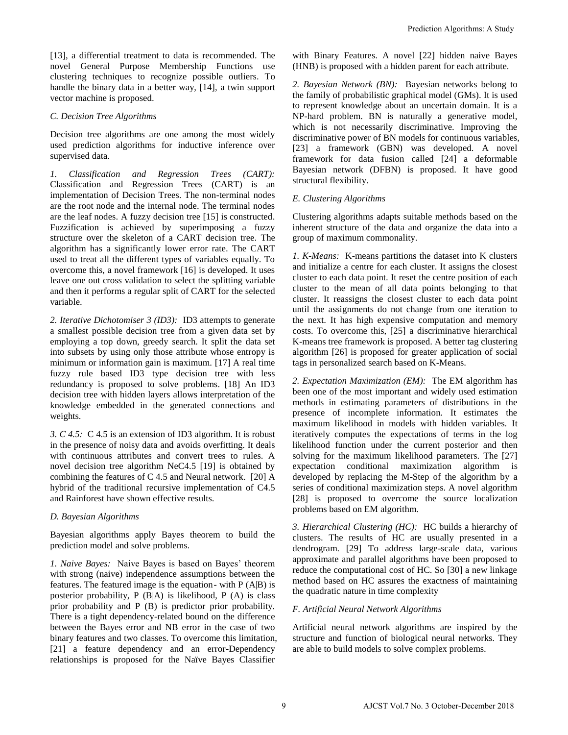[13], a differential treatment to data is recommended. The novel General Purpose Membership Functions use clustering techniques to recognize possible outliers. To handle the binary data in a better way, [14], a twin support vector machine is proposed.

#### *C. Decision Tree Algorithms*

Decision tree algorithms are one among the most widely used prediction algorithms for inductive inference over supervised data.

*1. Classification and Regression Trees (CART):*  Classification and Regression Trees (CART) is an implementation of Decision Trees. The non-terminal nodes are the root node and the internal node. The terminal nodes are the leaf nodes. A fuzzy decision tree [15] is constructed. Fuzzification is achieved by superimposing a fuzzy structure over the skeleton of a CART decision tree. The algorithm has a significantly lower error rate. The CART used to treat all the different types of variables equally. To overcome this, a novel framework [16] is developed. It uses leave one out cross validation to select the splitting variable and then it performs a regular split of CART for the selected variable.

*2. Iterative Dichotomiser 3 (ID3):* ID3 attempts to generate a smallest possible decision tree from a given data set by employing a top down, greedy search. It split the data set into subsets by using only those attribute whose entropy is minimum or information gain is maximum. [17] A real time fuzzy rule based ID3 type decision tree with less redundancy is proposed to solve problems. [18] An ID3 decision tree with hidden layers allows interpretation of the knowledge embedded in the generated connections and weights.

*3. C 4.5:* C 4.5 is an extension of ID3 algorithm. It is robust in the presence of noisy data and avoids overfitting. It deals with continuous attributes and convert trees to rules. A novel decision tree algorithm NeC4.5 [19] is obtained by combining the features of C 4.5 and Neural network. [20] A hybrid of the traditional recursive implementation of C4.5 and Rainforest have shown effective results.

#### *D. Bayesian Algorithms*

Bayesian algorithms apply Bayes theorem to build the prediction model and solve problems.

*1. Naive Bayes:* Naive Bayes is based on Bayes' theorem with strong (naive) independence assumptions between the features. The featured image is the equation- with  $P(A|B)$  is posterior probability, P (B|A) is likelihood, P (A) is class prior probability and P (B) is predictor prior probability. There is a tight dependency-related bound on the difference between the Bayes error and NB error in the case of two binary features and two classes. To overcome this limitation, [21] a feature dependency and an error-Dependency relationships is proposed for the Naïve Bayes Classifier

with Binary Features. A novel [22] hidden naive Bayes (HNB) is proposed with a hidden parent for each attribute.

*2. Bayesian Network (BN):* Bayesian networks belong to the family of probabilistic graphical model (GMs). It is used to represent knowledge about an uncertain domain. It is a NP-hard problem. BN is naturally a generative model, which is not necessarily discriminative. Improving the discriminative power of BN models for continuous variables, [23] a framework (GBN) was developed. A novel framework for data fusion called [24] a deformable Bayesian network (DFBN) is proposed. It have good structural flexibility.

#### *E. Clustering Algorithms*

Clustering algorithms adapts suitable methods based on the inherent structure of the data and organize the data into a group of maximum commonality.

*1. K-Means:* K-means partitions the dataset into K clusters and initialize a centre for each cluster. It assigns the closest cluster to each data point. It reset the centre position of each cluster to the mean of all data points belonging to that cluster. It reassigns the closest cluster to each data point until the assignments do not change from one iteration to the next. It has high expensive computation and memory costs. To overcome this, [25] a discriminative hierarchical K-means tree framework is proposed. A better tag clustering algorithm [26] is proposed for greater application of social tags in personalized search based on K-Means.

*2. Expectation Maximization (EM):* The EM algorithm has been one of the most important and widely used estimation methods in estimating parameters of distributions in the presence of incomplete information. It estimates the maximum likelihood in models with hidden variables. It iteratively computes the expectations of terms in the log likelihood function under the current posterior and then solving for the maximum likelihood parameters. The [27] expectation conditional maximization algorithm is developed by replacing the M-Step of the algorithm by a series of conditional maximization steps. A novel algorithm [28] is proposed to overcome the source localization problems based on EM algorithm. Prediction Algorithms: A Study<br>
(HNB) is proposed with a hidden parent of reach attribute. A Bychian Metrovit (BM): Bayesian networks belong to<br>
(HNB) is proposed with a hidden parent of reach attributes of the family of

*3. Hierarchical Clustering (HC):* HC builds a hierarchy of clusters. The results of HC are usually presented in a dendrogram. [29] To address large-scale data, various approximate and parallel algorithms have been proposed to reduce the computational cost of HC. So [30] a new linkage method based on HC assures the exactness of maintaining the quadratic nature in time complexity

#### *F. Artificial Neural Network Algorithms*

Artificial neural network algorithms are inspired by the structure and function of biological neural networks. They are able to build models to solve complex problems.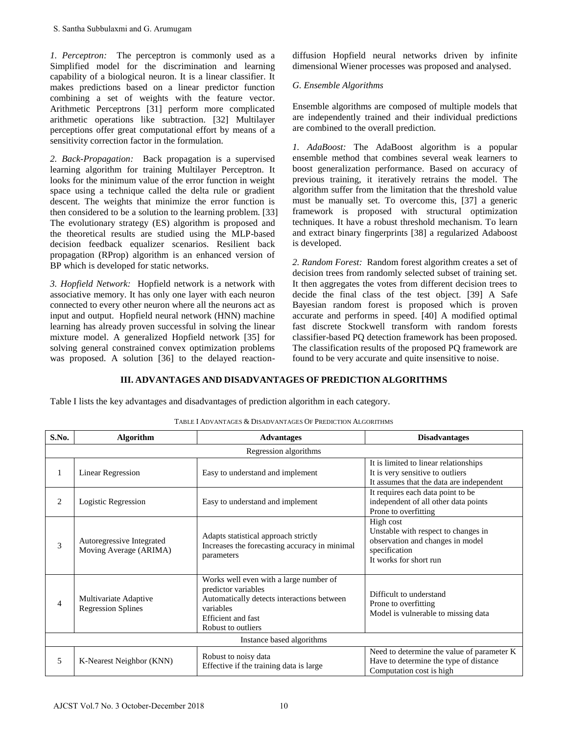# *G. Ensemble Algorithms*

# **III. ADVANTAGES AND DISADVANTAGES OF PREDICTION ALGORITHMS**

|                                                                                                                                                                                                                                                                                                                                                                                                                                                                                                                                                                                                                   | S. Santha Subbulaxmi and G. Arumugam                                                                                                                                                                                                      |                                                                                                                                                                             |                                                                                                                                                                                                                                                                                                                                                                                                                                                                                                                                                                                                                            |                                                                                                                                 |
|-------------------------------------------------------------------------------------------------------------------------------------------------------------------------------------------------------------------------------------------------------------------------------------------------------------------------------------------------------------------------------------------------------------------------------------------------------------------------------------------------------------------------------------------------------------------------------------------------------------------|-------------------------------------------------------------------------------------------------------------------------------------------------------------------------------------------------------------------------------------------|-----------------------------------------------------------------------------------------------------------------------------------------------------------------------------|----------------------------------------------------------------------------------------------------------------------------------------------------------------------------------------------------------------------------------------------------------------------------------------------------------------------------------------------------------------------------------------------------------------------------------------------------------------------------------------------------------------------------------------------------------------------------------------------------------------------------|---------------------------------------------------------------------------------------------------------------------------------|
|                                                                                                                                                                                                                                                                                                                                                                                                                                                                                                                                                                                                                   | 1. Perceptron: The perceptron is commonly used as a<br>Simplified model for the discrimination and learning<br>capability of a biological neuron. It is a linear classifier. It<br>makes predictions based on a linear predictor function |                                                                                                                                                                             | diffusion Hopfield neural networks driven by infinite<br>dimensional Wiener processes was proposed and analysed.<br>G. Ensemble Algorithms                                                                                                                                                                                                                                                                                                                                                                                                                                                                                 |                                                                                                                                 |
|                                                                                                                                                                                                                                                                                                                                                                                                                                                                                                                                                                                                                   | combining a set of weights with the feature vector.<br>Arithmetic Perceptrons [31] perform more complicated<br>arithmetic operations like subtraction. [32] Multilayer<br>perceptions offer great computational effort by means of a      |                                                                                                                                                                             | Ensemble algorithms are composed of multiple models that<br>are independently trained and their individual predictions<br>are combined to the overall prediction.                                                                                                                                                                                                                                                                                                                                                                                                                                                          |                                                                                                                                 |
| sensitivity correction factor in the formulation.<br>2. Back-Propagation: Back propagation is a supervised<br>learning algorithm for training Multilayer Perceptron. It<br>looks for the minimum value of the error function in weight<br>space using a technique called the delta rule or gradient<br>descent. The weights that minimize the error function is<br>then considered to be a solution to the learning problem. [33]<br>The evolutionary strategy (ES) algorithm is proposed and<br>the theoretical results are studied using the MLP-based<br>decision feedback equalizer scenarios. Resilient back |                                                                                                                                                                                                                                           |                                                                                                                                                                             | 1. AdaBoost: The AdaBoost algorithm is a popular<br>ensemble method that combines several weak learners to<br>boost generalization performance. Based on accuracy of<br>previous training, it iteratively retrains the model. The<br>algorithm suffer from the limitation that the threshold value<br>must be manually set. To overcome this, [37] a generic<br>framework is proposed with structural optimization<br>techniques. It have a robust threshold mechanism. To learn<br>and extract binary fingerprints [38] a regularized Adaboost<br>is developed.                                                           |                                                                                                                                 |
| propagation (RProp) algorithm is an enhanced version of<br>BP which is developed for static networks.<br>3. Hopfield Network: Hopfield network is a network with<br>associative memory. It has only one layer with each neuron<br>connected to every other neuron where all the neurons act as<br>input and output. Hopfield neural network (HNN) machine<br>learning has already proven successful in solving the linear<br>mixture model. A generalized Hopfield network [35] for<br>solving general constrained convex optimization problems<br>was proposed. A solution [36] to the delayed reaction-         |                                                                                                                                                                                                                                           |                                                                                                                                                                             | 2. Random Forest: Random forest algorithm creates a set of<br>decision trees from randomly selected subset of training set.<br>It then aggregates the votes from different decision trees to<br>decide the final class of the test object. [39] A Safe<br>Bayesian random forest is proposed which is proven<br>accurate and performs in speed. [40] A modified optimal<br>fast discrete Stockwell transform with random forests<br>classifier-based PQ detection framework has been proposed.<br>The classification results of the proposed PQ framework are<br>found to be very accurate and quite insensitive to noise. |                                                                                                                                 |
|                                                                                                                                                                                                                                                                                                                                                                                                                                                                                                                                                                                                                   |                                                                                                                                                                                                                                           |                                                                                                                                                                             |                                                                                                                                                                                                                                                                                                                                                                                                                                                                                                                                                                                                                            |                                                                                                                                 |
|                                                                                                                                                                                                                                                                                                                                                                                                                                                                                                                                                                                                                   | Table I lists the key advantages and disadvantages of prediction algorithm in each category.                                                                                                                                              | III. ADVANTAGES AND DISADVANTAGES OF PREDICTION ALGORITHMS<br>TABLE I ADVANTAGES & DISADVANTAGES OF PREDICTION ALGORITHMS                                                   |                                                                                                                                                                                                                                                                                                                                                                                                                                                                                                                                                                                                                            |                                                                                                                                 |
| S.No.                                                                                                                                                                                                                                                                                                                                                                                                                                                                                                                                                                                                             | <b>Algorithm</b>                                                                                                                                                                                                                          | <b>Advantages</b>                                                                                                                                                           |                                                                                                                                                                                                                                                                                                                                                                                                                                                                                                                                                                                                                            | <b>Disadvantages</b>                                                                                                            |
|                                                                                                                                                                                                                                                                                                                                                                                                                                                                                                                                                                                                                   |                                                                                                                                                                                                                                           | Regression algorithms                                                                                                                                                       |                                                                                                                                                                                                                                                                                                                                                                                                                                                                                                                                                                                                                            |                                                                                                                                 |
| $\mathbf{1}$                                                                                                                                                                                                                                                                                                                                                                                                                                                                                                                                                                                                      | <b>Linear Regression</b>                                                                                                                                                                                                                  | Easy to understand and implement                                                                                                                                            |                                                                                                                                                                                                                                                                                                                                                                                                                                                                                                                                                                                                                            | It is limited to linear relationships<br>It is very sensitive to outliers<br>It assumes that the data are independent           |
| 2                                                                                                                                                                                                                                                                                                                                                                                                                                                                                                                                                                                                                 | <b>Logistic Regression</b>                                                                                                                                                                                                                | Easy to understand and implement                                                                                                                                            |                                                                                                                                                                                                                                                                                                                                                                                                                                                                                                                                                                                                                            | It requires each data point to be<br>independent of all other data points<br>Prone to overfitting                               |
| 3                                                                                                                                                                                                                                                                                                                                                                                                                                                                                                                                                                                                                 | Autoregressive Integrated<br>Moving Average (ARIMA)                                                                                                                                                                                       | Adapts statistical approach strictly<br>Increases the forecasting accuracy in minimal<br>parameters                                                                         |                                                                                                                                                                                                                                                                                                                                                                                                                                                                                                                                                                                                                            | High cost<br>Unstable with respect to changes in<br>observation and changes in model<br>specification<br>It works for short run |
| $\overline{4}$                                                                                                                                                                                                                                                                                                                                                                                                                                                                                                                                                                                                    | Multivariate Adaptive<br><b>Regression Splines</b>                                                                                                                                                                                        | Works well even with a large number of<br>predictor variables<br>Automatically detects interactions between<br>variables<br><b>Efficient</b> and fast<br>Robust to outliers |                                                                                                                                                                                                                                                                                                                                                                                                                                                                                                                                                                                                                            | Difficult to understand<br>Prone to overfitting<br>Model is vulnerable to missing data                                          |
|                                                                                                                                                                                                                                                                                                                                                                                                                                                                                                                                                                                                                   |                                                                                                                                                                                                                                           | Instance based algorithms                                                                                                                                                   |                                                                                                                                                                                                                                                                                                                                                                                                                                                                                                                                                                                                                            | Need to determine the value of parameter K                                                                                      |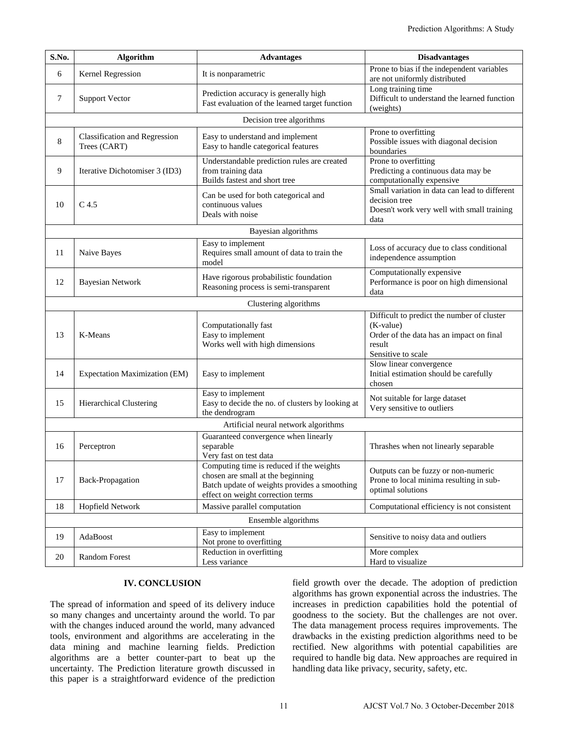| Prediction Algorithms: A Study                                                                                                                                                                                                                                                                                                                                                                                                                                                                                                                                                                                                                                                                                                                                                                                                                                                                                                                                                                                                                                                     |                                                      |                                                                                                                                                                    |  |                                                                                                                                     |  |  |  |  |
|------------------------------------------------------------------------------------------------------------------------------------------------------------------------------------------------------------------------------------------------------------------------------------------------------------------------------------------------------------------------------------------------------------------------------------------------------------------------------------------------------------------------------------------------------------------------------------------------------------------------------------------------------------------------------------------------------------------------------------------------------------------------------------------------------------------------------------------------------------------------------------------------------------------------------------------------------------------------------------------------------------------------------------------------------------------------------------|------------------------------------------------------|--------------------------------------------------------------------------------------------------------------------------------------------------------------------|--|-------------------------------------------------------------------------------------------------------------------------------------|--|--|--|--|
| S.No.                                                                                                                                                                                                                                                                                                                                                                                                                                                                                                                                                                                                                                                                                                                                                                                                                                                                                                                                                                                                                                                                              | <b>Algorithm</b>                                     | <b>Advantages</b>                                                                                                                                                  |  | <b>Disadvantages</b>                                                                                                                |  |  |  |  |
| 6                                                                                                                                                                                                                                                                                                                                                                                                                                                                                                                                                                                                                                                                                                                                                                                                                                                                                                                                                                                                                                                                                  | Kernel Regression                                    | It is nonparametric                                                                                                                                                |  | Prone to bias if the independent variables<br>are not uniformly distributed                                                         |  |  |  |  |
| 7                                                                                                                                                                                                                                                                                                                                                                                                                                                                                                                                                                                                                                                                                                                                                                                                                                                                                                                                                                                                                                                                                  | <b>Support Vector</b>                                | Prediction accuracy is generally high<br>Fast evaluation of the learned target function                                                                            |  | Long training time<br>Difficult to understand the learned function<br>(weights)                                                     |  |  |  |  |
|                                                                                                                                                                                                                                                                                                                                                                                                                                                                                                                                                                                                                                                                                                                                                                                                                                                                                                                                                                                                                                                                                    | Decision tree algorithms                             |                                                                                                                                                                    |  |                                                                                                                                     |  |  |  |  |
| 8                                                                                                                                                                                                                                                                                                                                                                                                                                                                                                                                                                                                                                                                                                                                                                                                                                                                                                                                                                                                                                                                                  | <b>Classification and Regression</b><br>Trees (CART) | Easy to understand and implement<br>Easy to handle categorical features                                                                                            |  | Prone to overfitting<br>Possible issues with diagonal decision<br>boundaries                                                        |  |  |  |  |
| 9                                                                                                                                                                                                                                                                                                                                                                                                                                                                                                                                                                                                                                                                                                                                                                                                                                                                                                                                                                                                                                                                                  | Iterative Dichotomiser 3 (ID3)                       | Understandable prediction rules are created<br>from training data<br>Builds fastest and short tree                                                                 |  | Prone to overfitting<br>Predicting a continuous data may be<br>computationally expensive                                            |  |  |  |  |
| 10                                                                                                                                                                                                                                                                                                                                                                                                                                                                                                                                                                                                                                                                                                                                                                                                                                                                                                                                                                                                                                                                                 | C <sub>4.5</sub>                                     | Can be used for both categorical and<br>continuous values<br>Deals with noise                                                                                      |  | Small variation in data can lead to different<br>decision tree<br>Doesn't work very well with small training<br>data                |  |  |  |  |
|                                                                                                                                                                                                                                                                                                                                                                                                                                                                                                                                                                                                                                                                                                                                                                                                                                                                                                                                                                                                                                                                                    |                                                      | Bayesian algorithms                                                                                                                                                |  |                                                                                                                                     |  |  |  |  |
| 11                                                                                                                                                                                                                                                                                                                                                                                                                                                                                                                                                                                                                                                                                                                                                                                                                                                                                                                                                                                                                                                                                 | Naive Bayes                                          | Easy to implement<br>Requires small amount of data to train the<br>model                                                                                           |  | Loss of accuracy due to class conditional<br>independence assumption                                                                |  |  |  |  |
| 12                                                                                                                                                                                                                                                                                                                                                                                                                                                                                                                                                                                                                                                                                                                                                                                                                                                                                                                                                                                                                                                                                 | <b>Bayesian Network</b>                              | Have rigorous probabilistic foundation<br>Reasoning process is semi-transparent                                                                                    |  | Computationally expensive<br>Performance is poor on high dimensional<br>data                                                        |  |  |  |  |
|                                                                                                                                                                                                                                                                                                                                                                                                                                                                                                                                                                                                                                                                                                                                                                                                                                                                                                                                                                                                                                                                                    |                                                      | Clustering algorithms                                                                                                                                              |  |                                                                                                                                     |  |  |  |  |
| 13                                                                                                                                                                                                                                                                                                                                                                                                                                                                                                                                                                                                                                                                                                                                                                                                                                                                                                                                                                                                                                                                                 | K-Means                                              | Computationally fast<br>Easy to implement<br>Works well with high dimensions                                                                                       |  | Difficult to predict the number of cluster<br>(K-value)<br>Order of the data has an impact on final<br>result<br>Sensitive to scale |  |  |  |  |
| 14                                                                                                                                                                                                                                                                                                                                                                                                                                                                                                                                                                                                                                                                                                                                                                                                                                                                                                                                                                                                                                                                                 | Expectation Maximization (EM)                        | Easy to implement                                                                                                                                                  |  | Slow linear convergence<br>Initial estimation should be carefully<br>chosen                                                         |  |  |  |  |
| 15                                                                                                                                                                                                                                                                                                                                                                                                                                                                                                                                                                                                                                                                                                                                                                                                                                                                                                                                                                                                                                                                                 | Hierarchical Clustering                              | Easy to implement<br>Easy to decide the no. of clusters by looking at<br>the dendrogram                                                                            |  | Not suitable for large dataset<br>Very sensitive to outliers                                                                        |  |  |  |  |
|                                                                                                                                                                                                                                                                                                                                                                                                                                                                                                                                                                                                                                                                                                                                                                                                                                                                                                                                                                                                                                                                                    |                                                      | Artificial neural network algorithms                                                                                                                               |  |                                                                                                                                     |  |  |  |  |
| 16                                                                                                                                                                                                                                                                                                                                                                                                                                                                                                                                                                                                                                                                                                                                                                                                                                                                                                                                                                                                                                                                                 | Perceptron                                           | Guaranteed convergence when linearly<br>separable<br>Very fast on test data                                                                                        |  | Thrashes when not linearly separable                                                                                                |  |  |  |  |
| 17                                                                                                                                                                                                                                                                                                                                                                                                                                                                                                                                                                                                                                                                                                                                                                                                                                                                                                                                                                                                                                                                                 | Back-Propagation                                     | Computing time is reduced if the weights<br>chosen are small at the beginning<br>Batch update of weights provides a smoothing<br>effect on weight correction terms |  | Outputs can be fuzzy or non-numeric<br>Prone to local minima resulting in sub-<br>optimal solutions                                 |  |  |  |  |
| 18                                                                                                                                                                                                                                                                                                                                                                                                                                                                                                                                                                                                                                                                                                                                                                                                                                                                                                                                                                                                                                                                                 | Hopfield Network                                     | Massive parallel computation                                                                                                                                       |  | Computational efficiency is not consistent                                                                                          |  |  |  |  |
| Ensemble algorithms                                                                                                                                                                                                                                                                                                                                                                                                                                                                                                                                                                                                                                                                                                                                                                                                                                                                                                                                                                                                                                                                |                                                      |                                                                                                                                                                    |  |                                                                                                                                     |  |  |  |  |
| 19                                                                                                                                                                                                                                                                                                                                                                                                                                                                                                                                                                                                                                                                                                                                                                                                                                                                                                                                                                                                                                                                                 | AdaBoost                                             | Easy to implement<br>Not prone to overfitting                                                                                                                      |  | Sensitive to noisy data and outliers                                                                                                |  |  |  |  |
| 20                                                                                                                                                                                                                                                                                                                                                                                                                                                                                                                                                                                                                                                                                                                                                                                                                                                                                                                                                                                                                                                                                 | Random Forest                                        | Reduction in overfitting<br>Less variance                                                                                                                          |  | More complex<br>Hard to visualize                                                                                                   |  |  |  |  |
| <b>IV. CONCLUSION</b><br>field growth over the decade. The adoption of prediction<br>algorithms has grown exponential across the industries. The<br>increases in prediction capabilities hold the potential of<br>The spread of information and speed of its delivery induce<br>so many changes and uncertainty around the world. To par<br>goodness to the society. But the challenges are not over.<br>The data management process requires improvements. The<br>with the changes induced around the world, many advanced<br>tools, environment and algorithms are accelerating in the<br>drawbacks in the existing prediction algorithms need to be<br>data mining and machine learning fields. Prediction<br>rectified. New algorithms with potential capabilities are<br>algorithms are a better counter-part to beat up the<br>required to handle big data. New approaches are required in<br>uncertainty. The Prediction literature growth discussed in<br>handling data like privacy, security, safety, etc.<br>this paper is a straightforward evidence of the prediction |                                                      |                                                                                                                                                                    |  |                                                                                                                                     |  |  |  |  |
|                                                                                                                                                                                                                                                                                                                                                                                                                                                                                                                                                                                                                                                                                                                                                                                                                                                                                                                                                                                                                                                                                    |                                                      | 11                                                                                                                                                                 |  | AJCST Vol.7 No. 3 October-December 2018                                                                                             |  |  |  |  |

# **IV. CONCLUSION**